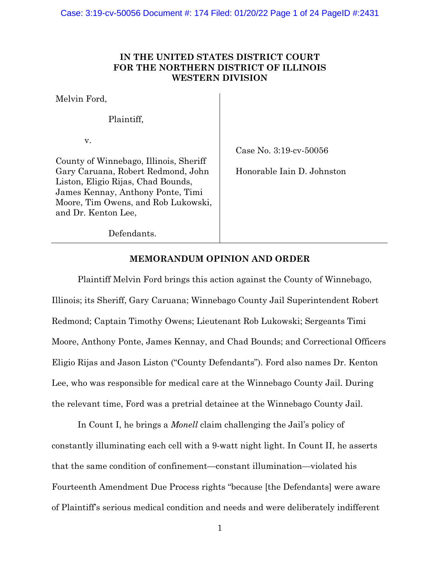# **IN THE UNITED STATES DISTRICT COURT FOR THE NORTHERN DISTRICT OF ILLINOIS WESTERN DIVISION**

Melvin Ford,

Plaintiff,

v.

Case No. 3:19-cv-50056

County of Winnebago, Illinois, Sheriff Gary Caruana, Robert Redmond, John Liston, Eligio Rijas, Chad Bounds, James Kennay, Anthony Ponte, Timi Moore, Tim Owens, and Rob Lukowski, and Dr. Kenton Lee,

Honorable Iain D. Johnston

Defendants.

# **MEMORANDUM OPINION AND ORDER**

Plaintiff Melvin Ford brings this action against the County of Winnebago, Illinois; its Sheriff, Gary Caruana; Winnebago County Jail Superintendent Robert Redmond; Captain Timothy Owens; Lieutenant Rob Lukowski; Sergeants Timi Moore, Anthony Ponte, James Kennay, and Chad Bounds; and Correctional Officers Eligio Rijas and Jason Liston ("County Defendants"). Ford also names Dr. Kenton Lee, who was responsible for medical care at the Winnebago County Jail. During the relevant time, Ford was a pretrial detainee at the Winnebago County Jail.

In Count I, he brings a *Monell* claim challenging the Jail's policy of constantly illuminating each cell with a 9-watt night light. In Count II, he asserts that the same condition of confinement—constant illumination—violated his Fourteenth Amendment Due Process rights "because [the Defendants] were aware of Plaintiff's serious medical condition and needs and were deliberately indifferent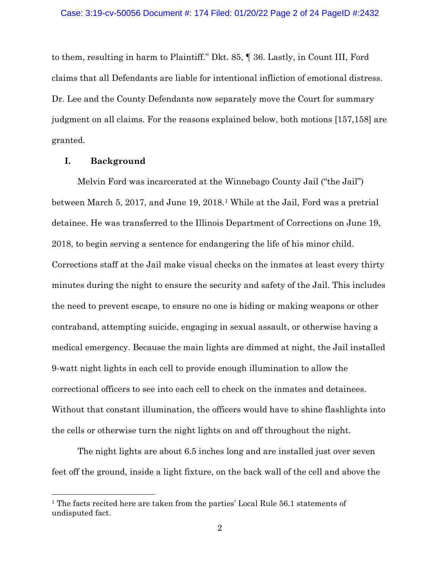to them, resulting in harm to Plaintiff." Dkt. 85, ¶ 36. Lastly, in Count III, Ford claims that all Defendants are liable for intentional infliction of emotional distress. Dr. Lee and the County Defendants now separately move the Court for summary judgment on all claims. For the reasons explained below, both motions [157,158] are granted.

# **I. Background**

Melvin Ford was incarcerated at the Winnebago County Jail ("the Jail") between March 5, 2017, and June 19, 2018.1 While at the Jail, Ford was a pretrial detainee. He was transferred to the Illinois Department of Corrections on June 19, 2018, to begin serving a sentence for endangering the life of his minor child. Corrections staff at the Jail make visual checks on the inmates at least every thirty minutes during the night to ensure the security and safety of the Jail. This includes the need to prevent escape, to ensure no one is hiding or making weapons or other contraband, attempting suicide, engaging in sexual assault, or otherwise having a medical emergency. Because the main lights are dimmed at night, the Jail installed 9-watt night lights in each cell to provide enough illumination to allow the correctional officers to see into each cell to check on the inmates and detainees. Without that constant illumination, the officers would have to shine flashlights into the cells or otherwise turn the night lights on and off throughout the night.

The night lights are about 6.5 inches long and are installed just over seven feet off the ground, inside a light fixture, on the back wall of the cell and above the

<sup>&</sup>lt;sup>1</sup> The facts recited here are taken from the parties' Local Rule 56.1 statements of undisputed fact.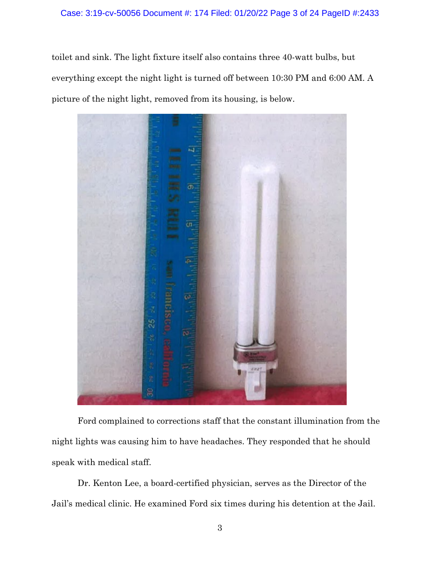# Case: 3:19-cv-50056 Document #: 174 Filed: 01/20/22 Page 3 of 24 PageID #:2433

toilet and sink. The light fixture itself also contains three 40-watt bulbs, but everything except the night light is turned off between 10:30 PM and 6:00 AM. A picture of the night light, removed from its housing, is below.



Ford complained to corrections staff that the constant illumination from the night lights was causing him to have headaches. They responded that he should speak with medical staff.

Dr. Kenton Lee, a board-certified physician, serves as the Director of the Jail's medical clinic. He examined Ford six times during his detention at the Jail.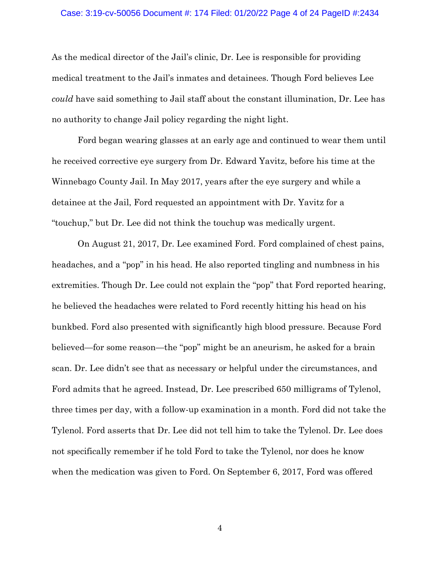#### Case: 3:19-cv-50056 Document #: 174 Filed: 01/20/22 Page 4 of 24 PageID #:2434

As the medical director of the Jail's clinic, Dr. Lee is responsible for providing medical treatment to the Jail's inmates and detainees. Though Ford believes Lee *could* have said something to Jail staff about the constant illumination, Dr. Lee has no authority to change Jail policy regarding the night light.

Ford began wearing glasses at an early age and continued to wear them until he received corrective eye surgery from Dr. Edward Yavitz, before his time at the Winnebago County Jail. In May 2017, years after the eye surgery and while a detainee at the Jail, Ford requested an appointment with Dr. Yavitz for a "touchup," but Dr. Lee did not think the touchup was medically urgent.

On August 21, 2017, Dr. Lee examined Ford. Ford complained of chest pains, headaches, and a "pop" in his head. He also reported tingling and numbness in his extremities. Though Dr. Lee could not explain the "pop" that Ford reported hearing, he believed the headaches were related to Ford recently hitting his head on his bunkbed. Ford also presented with significantly high blood pressure. Because Ford believed—for some reason—the "pop" might be an aneurism, he asked for a brain scan. Dr. Lee didn't see that as necessary or helpful under the circumstances, and Ford admits that he agreed. Instead, Dr. Lee prescribed 650 milligrams of Tylenol, three times per day, with a follow-up examination in a month. Ford did not take the Tylenol. Ford asserts that Dr. Lee did not tell him to take the Tylenol. Dr. Lee does not specifically remember if he told Ford to take the Tylenol, nor does he know when the medication was given to Ford. On September 6, 2017, Ford was offered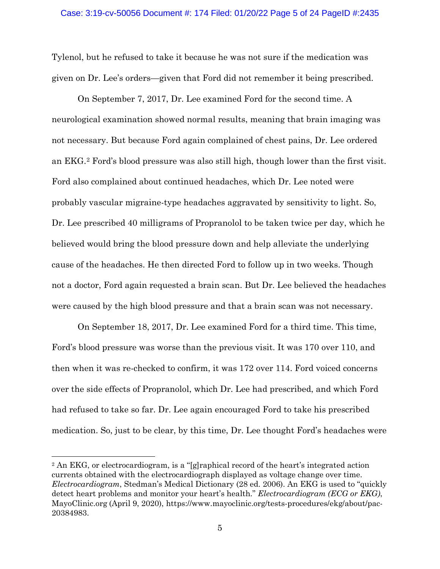Tylenol, but he refused to take it because he was not sure if the medication was given on Dr. Lee's orders—given that Ford did not remember it being prescribed.

On September 7, 2017, Dr. Lee examined Ford for the second time. A neurological examination showed normal results, meaning that brain imaging was not necessary. But because Ford again complained of chest pains, Dr. Lee ordered an EKG.2 Ford's blood pressure was also still high, though lower than the first visit. Ford also complained about continued headaches, which Dr. Lee noted were probably vascular migraine-type headaches aggravated by sensitivity to light. So, Dr. Lee prescribed 40 milligrams of Propranolol to be taken twice per day, which he believed would bring the blood pressure down and help alleviate the underlying cause of the headaches. He then directed Ford to follow up in two weeks. Though not a doctor, Ford again requested a brain scan. But Dr. Lee believed the headaches were caused by the high blood pressure and that a brain scan was not necessary.

On September 18, 2017, Dr. Lee examined Ford for a third time. This time, Ford's blood pressure was worse than the previous visit. It was 170 over 110, and then when it was re-checked to confirm, it was 172 over 114. Ford voiced concerns over the side effects of Propranolol, which Dr. Lee had prescribed, and which Ford had refused to take so far. Dr. Lee again encouraged Ford to take his prescribed medication. So, just to be clear, by this time, Dr. Lee thought Ford's headaches were

<sup>2</sup> An EKG, or electrocardiogram, is a "[g]raphical record of the heart's integrated action currents obtained with the electrocardiograph displayed as voltage change over time. *Electrocardiogram*, Stedman's Medical Dictionary (28 ed. 2006). An EKG is used to "quickly detect heart problems and monitor your heart's health." *Electrocardiogram (ECG or EKG)*, MayoClinic.org (April 9, 2020), https://www.mayoclinic.org/tests-procedures/ekg/about/pac-20384983.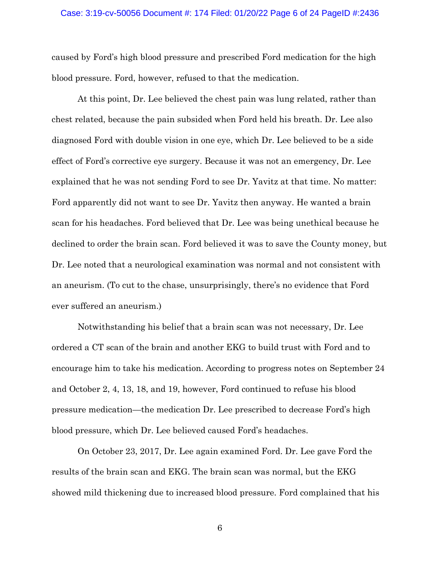### Case: 3:19-cv-50056 Document #: 174 Filed: 01/20/22 Page 6 of 24 PageID #:2436

caused by Ford's high blood pressure and prescribed Ford medication for the high blood pressure. Ford, however, refused to that the medication.

At this point, Dr. Lee believed the chest pain was lung related, rather than chest related, because the pain subsided when Ford held his breath. Dr. Lee also diagnosed Ford with double vision in one eye, which Dr. Lee believed to be a side effect of Ford's corrective eye surgery. Because it was not an emergency, Dr. Lee explained that he was not sending Ford to see Dr. Yavitz at that time. No matter: Ford apparently did not want to see Dr. Yavitz then anyway. He wanted a brain scan for his headaches. Ford believed that Dr. Lee was being unethical because he declined to order the brain scan. Ford believed it was to save the County money, but Dr. Lee noted that a neurological examination was normal and not consistent with an aneurism. (To cut to the chase, unsurprisingly, there's no evidence that Ford ever suffered an aneurism.)

Notwithstanding his belief that a brain scan was not necessary, Dr. Lee ordered a CT scan of the brain and another EKG to build trust with Ford and to encourage him to take his medication. According to progress notes on September 24 and October 2, 4, 13, 18, and 19, however, Ford continued to refuse his blood pressure medication—the medication Dr. Lee prescribed to decrease Ford's high blood pressure, which Dr. Lee believed caused Ford's headaches.

On October 23, 2017, Dr. Lee again examined Ford. Dr. Lee gave Ford the results of the brain scan and EKG. The brain scan was normal, but the EKG showed mild thickening due to increased blood pressure. Ford complained that his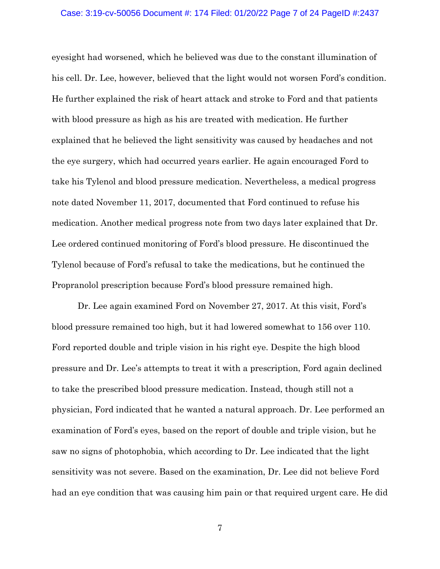#### Case: 3:19-cv-50056 Document #: 174 Filed: 01/20/22 Page 7 of 24 PageID #:2437

eyesight had worsened, which he believed was due to the constant illumination of his cell. Dr. Lee, however, believed that the light would not worsen Ford's condition. He further explained the risk of heart attack and stroke to Ford and that patients with blood pressure as high as his are treated with medication. He further explained that he believed the light sensitivity was caused by headaches and not the eye surgery, which had occurred years earlier. He again encouraged Ford to take his Tylenol and blood pressure medication. Nevertheless, a medical progress note dated November 11, 2017, documented that Ford continued to refuse his medication. Another medical progress note from two days later explained that Dr. Lee ordered continued monitoring of Ford's blood pressure. He discontinued the Tylenol because of Ford's refusal to take the medications, but he continued the Propranolol prescription because Ford's blood pressure remained high.

Dr. Lee again examined Ford on November 27, 2017. At this visit, Ford's blood pressure remained too high, but it had lowered somewhat to 156 over 110. Ford reported double and triple vision in his right eye. Despite the high blood pressure and Dr. Lee's attempts to treat it with a prescription, Ford again declined to take the prescribed blood pressure medication. Instead, though still not a physician, Ford indicated that he wanted a natural approach. Dr. Lee performed an examination of Ford's eyes, based on the report of double and triple vision, but he saw no signs of photophobia, which according to Dr. Lee indicated that the light sensitivity was not severe. Based on the examination, Dr. Lee did not believe Ford had an eye condition that was causing him pain or that required urgent care. He did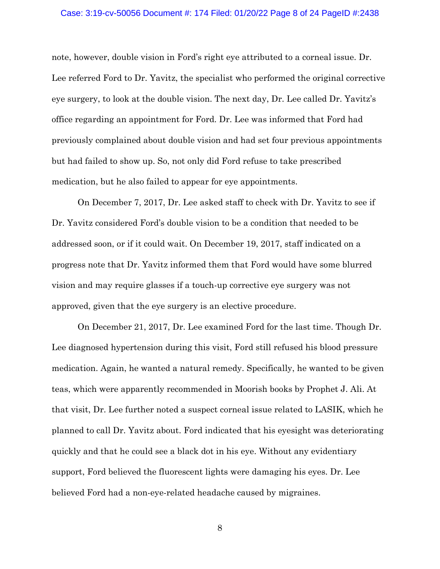#### Case: 3:19-cv-50056 Document #: 174 Filed: 01/20/22 Page 8 of 24 PageID #:2438

note, however, double vision in Ford's right eye attributed to a corneal issue. Dr. Lee referred Ford to Dr. Yavitz, the specialist who performed the original corrective eye surgery, to look at the double vision. The next day, Dr. Lee called Dr. Yavitz's office regarding an appointment for Ford. Dr. Lee was informed that Ford had previously complained about double vision and had set four previous appointments but had failed to show up. So, not only did Ford refuse to take prescribed medication, but he also failed to appear for eye appointments.

On December 7, 2017, Dr. Lee asked staff to check with Dr. Yavitz to see if Dr. Yavitz considered Ford's double vision to be a condition that needed to be addressed soon, or if it could wait. On December 19, 2017, staff indicated on a progress note that Dr. Yavitz informed them that Ford would have some blurred vision and may require glasses if a touch-up corrective eye surgery was not approved, given that the eye surgery is an elective procedure.

On December 21, 2017, Dr. Lee examined Ford for the last time. Though Dr. Lee diagnosed hypertension during this visit, Ford still refused his blood pressure medication. Again, he wanted a natural remedy. Specifically, he wanted to be given teas, which were apparently recommended in Moorish books by Prophet J. Ali. At that visit, Dr. Lee further noted a suspect corneal issue related to LASIK, which he planned to call Dr. Yavitz about. Ford indicated that his eyesight was deteriorating quickly and that he could see a black dot in his eye. Without any evidentiary support, Ford believed the fluorescent lights were damaging his eyes. Dr. Lee believed Ford had a non-eye-related headache caused by migraines.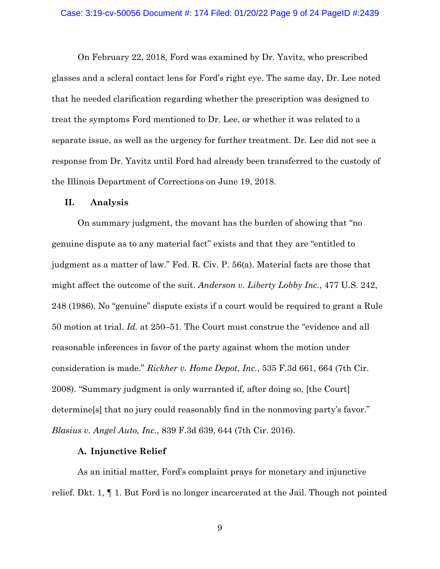On February 22, 2018, Ford was examined by Dr. Yavitz, who prescribed glasses and a scleral contact lens for Ford's right eye. The same day, Dr. Lee noted that he needed clarification regarding whether the prescription was designed to treat the symptoms Ford mentioned to Dr. Lee, or whether it was related to a separate issue, as well as the urgency for further treatment. Dr. Lee did not see a response from Dr. Yavitz until Ford had already been transferred to the custody of the Illinois Department of Corrections on June 19, 2018.

## **II. Analysis**

On summary judgment, the movant has the burden of showing that "no genuine dispute as to any material fact" exists and that they are "entitled to judgment as a matter of law." Fed. R. Civ. P. 56(a). Material facts are those that might affect the outcome of the suit. *Anderson v. Liberty Lobby Inc.*, 477 U.S. 242, 248 (1986). No "genuine" dispute exists if a court would be required to grant a Rule 50 motion at trial. *Id.* at 250–51. The Court must construe the "evidence and all reasonable inferences in favor of the party against whom the motion under consideration is made." *Rickher v. Home Depot, Inc.*, 535 F.3d 661, 664 (7th Cir. 2008). "Summary judgment is only warranted if, after doing so, [the Court] determine[s] that no jury could reasonably find in the nonmoving party's favor." *Blasius v. Angel Auto, Inc.*, 839 F.3d 639, 644 (7th Cir. 2016).

### **A. Injunctive Relief**

As an initial matter, Ford's complaint prays for monetary and injunctive relief. Dkt. 1, ¶ 1. But Ford is no longer incarcerated at the Jail. Though not pointed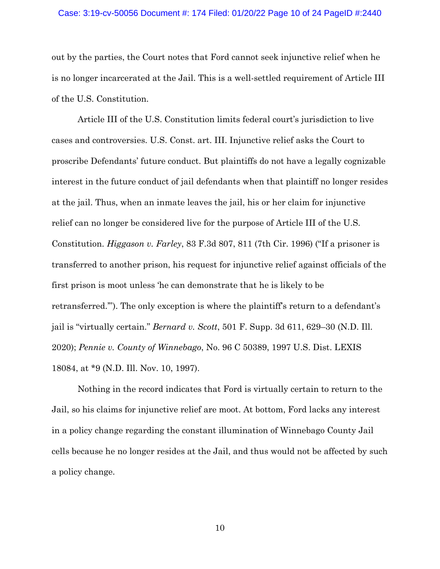### Case: 3:19-cv-50056 Document #: 174 Filed: 01/20/22 Page 10 of 24 PageID #:2440

out by the parties, the Court notes that Ford cannot seek injunctive relief when he is no longer incarcerated at the Jail. This is a well-settled requirement of Article III of the U.S. Constitution.

Article III of the U.S. Constitution limits federal court's jurisdiction to live cases and controversies. U.S. Const. art. III. Injunctive relief asks the Court to proscribe Defendants' future conduct. But plaintiffs do not have a legally cognizable interest in the future conduct of jail defendants when that plaintiff no longer resides at the jail. Thus, when an inmate leaves the jail, his or her claim for injunctive relief can no longer be considered live for the purpose of Article III of the U.S. Constitution. *Higgason v. Farley*, 83 F.3d 807, 811 (7th Cir. 1996) ("If a prisoner is transferred to another prison, his request for injunctive relief against officials of the first prison is moot unless 'he can demonstrate that he is likely to be retransferred.'"). The only exception is where the plaintiff's return to a defendant's jail is "virtually certain." *Bernard v. Scott*, 501 F. Supp. 3d 611, 629–30 (N.D. Ill. 2020); *Pennie v. County of Winnebago*, No. 96 C 50389, 1997 U.S. Dist. LEXIS 18084, at \*9 (N.D. Ill. Nov. 10, 1997).

Nothing in the record indicates that Ford is virtually certain to return to the Jail, so his claims for injunctive relief are moot. At bottom, Ford lacks any interest in a policy change regarding the constant illumination of Winnebago County Jail cells because he no longer resides at the Jail, and thus would not be affected by such a policy change.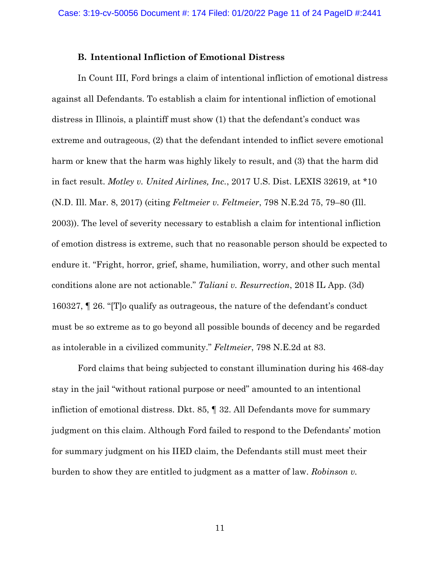### **B. Intentional Infliction of Emotional Distress**

In Count III, Ford brings a claim of intentional infliction of emotional distress against all Defendants. To establish a claim for intentional infliction of emotional distress in Illinois, a plaintiff must show (1) that the defendant's conduct was extreme and outrageous, (2) that the defendant intended to inflict severe emotional harm or knew that the harm was highly likely to result, and (3) that the harm did in fact result. *Motley v. United Airlines, Inc.*, 2017 U.S. Dist. LEXIS 32619, at \*10 (N.D. Ill. Mar. 8, 2017) (citing *Feltmeier v. Feltmeier*, 798 N.E.2d 75, 79–80 (Ill. 2003)). The level of severity necessary to establish a claim for intentional infliction of emotion distress is extreme, such that no reasonable person should be expected to endure it. "Fright, horror, grief, shame, humiliation, worry, and other such mental conditions alone are not actionable." *Taliani v. Resurrection*, 2018 IL App. (3d) 160327, ¶ 26. "[T]o qualify as outrageous, the nature of the defendant's conduct must be so extreme as to go beyond all possible bounds of decency and be regarded as intolerable in a civilized community." *Feltmeier*, 798 N.E.2d at 83.

Ford claims that being subjected to constant illumination during his 468-day stay in the jail "without rational purpose or need" amounted to an intentional infliction of emotional distress. Dkt. 85, ¶ 32. All Defendants move for summary judgment on this claim. Although Ford failed to respond to the Defendants' motion for summary judgment on his IIED claim, the Defendants still must meet their burden to show they are entitled to judgment as a matter of law. *Robinson v.*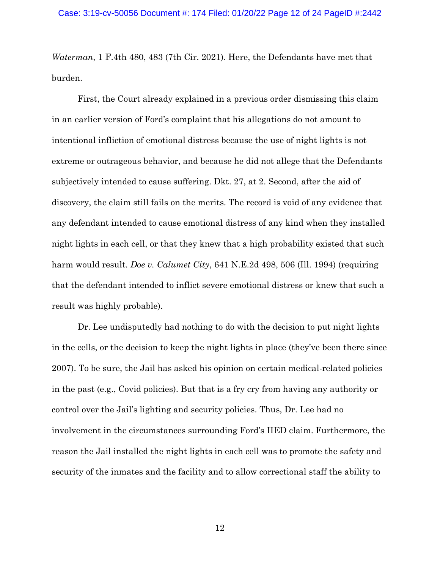*Waterman*, 1 F.4th 480, 483 (7th Cir. 2021). Here, the Defendants have met that burden.

First, the Court already explained in a previous order dismissing this claim in an earlier version of Ford's complaint that his allegations do not amount to intentional infliction of emotional distress because the use of night lights is not extreme or outrageous behavior, and because he did not allege that the Defendants subjectively intended to cause suffering. Dkt. 27, at 2. Second, after the aid of discovery, the claim still fails on the merits. The record is void of any evidence that any defendant intended to cause emotional distress of any kind when they installed night lights in each cell, or that they knew that a high probability existed that such harm would result. *Doe v. Calumet City*, 641 N.E.2d 498, 506 (Ill. 1994) (requiring that the defendant intended to inflict severe emotional distress or knew that such a result was highly probable).

Dr. Lee undisputedly had nothing to do with the decision to put night lights in the cells, or the decision to keep the night lights in place (they've been there since 2007). To be sure, the Jail has asked his opinion on certain medical-related policies in the past (e.g., Covid policies). But that is a fry cry from having any authority or control over the Jail's lighting and security policies. Thus, Dr. Lee had no involvement in the circumstances surrounding Ford's IIED claim. Furthermore, the reason the Jail installed the night lights in each cell was to promote the safety and security of the inmates and the facility and to allow correctional staff the ability to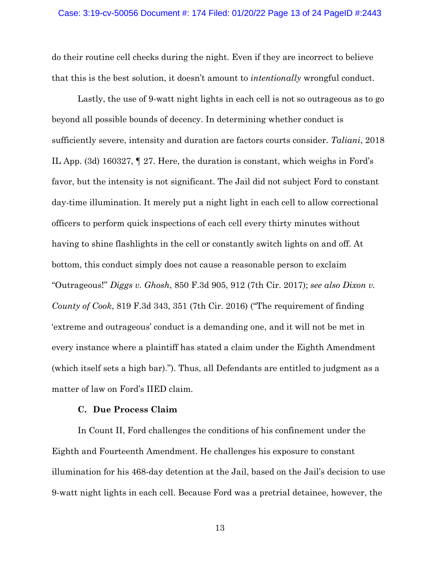do their routine cell checks during the night. Even if they are incorrect to believe that this is the best solution, it doesn't amount to *intentionally* wrongful conduct.

Lastly, the use of 9-watt night lights in each cell is not so outrageous as to go beyond all possible bounds of decency. In determining whether conduct is sufficiently severe, intensity and duration are factors courts consider. *Taliani*, 2018 IL App. (3d) 160327, ¶ 27. Here, the duration is constant, which weighs in Ford's favor, but the intensity is not significant. The Jail did not subject Ford to constant day-time illumination. It merely put a night light in each cell to allow correctional officers to perform quick inspections of each cell every thirty minutes without having to shine flashlights in the cell or constantly switch lights on and off. At bottom, this conduct simply does not cause a reasonable person to exclaim "Outrageous!" *Diggs v. Ghosh*, 850 F.3d 905, 912 (7th Cir. 2017); *see also Dixon v. County of Cook*, 819 F.3d 343, 351 (7th Cir. 2016) ("The requirement of finding 'extreme and outrageous' conduct is a demanding one, and it will not be met in every instance where a plaintiff has stated a claim under the Eighth Amendment (which itself sets a high bar)."). Thus, all Defendants are entitled to judgment as a matter of law on Ford's IIED claim.

### **C. Due Process Claim**

In Count II, Ford challenges the conditions of his confinement under the Eighth and Fourteenth Amendment. He challenges his exposure to constant illumination for his 468-day detention at the Jail, based on the Jail's decision to use 9-watt night lights in each cell. Because Ford was a pretrial detainee, however, the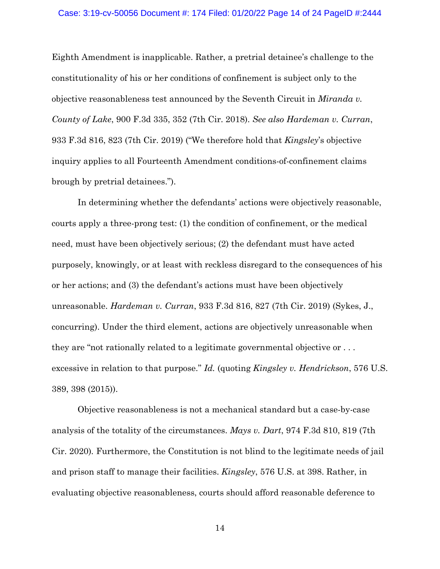### Case: 3:19-cv-50056 Document #: 174 Filed: 01/20/22 Page 14 of 24 PageID #:2444

Eighth Amendment is inapplicable. Rather, a pretrial detainee's challenge to the constitutionality of his or her conditions of confinement is subject only to the objective reasonableness test announced by the Seventh Circuit in *Miranda v. County of Lake*, 900 F.3d 335, 352 (7th Cir. 2018). *See also Hardeman v. Curran*, 933 F.3d 816, 823 (7th Cir. 2019) ("We therefore hold that *Kingsley*'s objective inquiry applies to all Fourteenth Amendment conditions-of-confinement claims brough by pretrial detainees.").

In determining whether the defendants' actions were objectively reasonable, courts apply a three-prong test: (1) the condition of confinement, or the medical need, must have been objectively serious; (2) the defendant must have acted purposely, knowingly, or at least with reckless disregard to the consequences of his or her actions; and (3) the defendant's actions must have been objectively unreasonable. *Hardeman v. Curran*, 933 F.3d 816, 827 (7th Cir. 2019) (Sykes, J., concurring). Under the third element, actions are objectively unreasonable when they are "not rationally related to a legitimate governmental objective or . . . excessive in relation to that purpose." *Id.* (quoting *Kingsley v. Hendrickson*, 576 U.S. 389, 398 (2015)).

Objective reasonableness is not a mechanical standard but a case-by-case analysis of the totality of the circumstances. *Mays v. Dart*, 974 F.3d 810, 819 (7th Cir. 2020)*.* Furthermore, the Constitution is not blind to the legitimate needs of jail and prison staff to manage their facilities. *Kingsley*, 576 U.S. at 398. Rather, in evaluating objective reasonableness, courts should afford reasonable deference to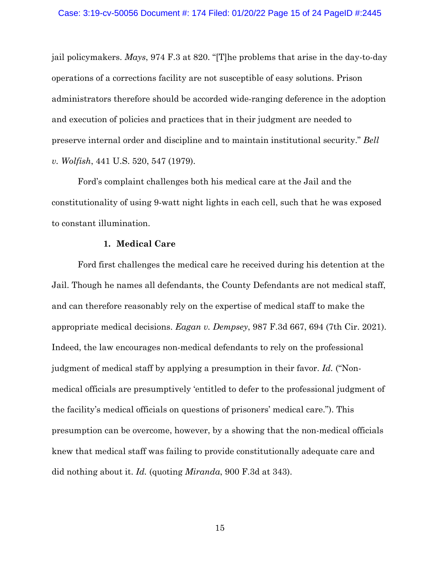jail policymakers. *Mays*, 974 F.3 at 820. "[T]he problems that arise in the day-to-day operations of a corrections facility are not susceptible of easy solutions. Prison administrators therefore should be accorded wide-ranging deference in the adoption and execution of policies and practices that in their judgment are needed to preserve internal order and discipline and to maintain institutional security." *Bell v. Wolfish*, 441 U.S. 520, 547 (1979).

Ford's complaint challenges both his medical care at the Jail and the constitutionality of using 9-watt night lights in each cell, such that he was exposed to constant illumination.

### **1. Medical Care**

Ford first challenges the medical care he received during his detention at the Jail. Though he names all defendants, the County Defendants are not medical staff, and can therefore reasonably rely on the expertise of medical staff to make the appropriate medical decisions. *Eagan v. Dempsey*, 987 F.3d 667, 694 (7th Cir. 2021). Indeed, the law encourages non-medical defendants to rely on the professional judgment of medical staff by applying a presumption in their favor. *Id.* ("Nonmedical officials are presumptively 'entitled to defer to the professional judgment of the facility's medical officials on questions of prisoners' medical care."). This presumption can be overcome, however, by a showing that the non-medical officials knew that medical staff was failing to provide constitutionally adequate care and did nothing about it. *Id.* (quoting *Miranda*, 900 F.3d at 343).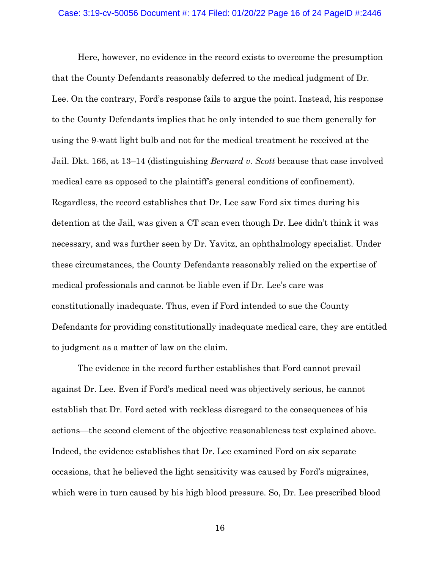Here, however, no evidence in the record exists to overcome the presumption that the County Defendants reasonably deferred to the medical judgment of Dr. Lee. On the contrary, Ford's response fails to argue the point. Instead, his response to the County Defendants implies that he only intended to sue them generally for using the 9-watt light bulb and not for the medical treatment he received at the Jail. Dkt. 166, at 13–14 (distinguishing *Bernard v. Scott* because that case involved medical care as opposed to the plaintiff's general conditions of confinement). Regardless, the record establishes that Dr. Lee saw Ford six times during his detention at the Jail, was given a CT scan even though Dr. Lee didn't think it was necessary, and was further seen by Dr. Yavitz, an ophthalmology specialist. Under these circumstances, the County Defendants reasonably relied on the expertise of medical professionals and cannot be liable even if Dr. Lee's care was constitutionally inadequate. Thus, even if Ford intended to sue the County Defendants for providing constitutionally inadequate medical care, they are entitled to judgment as a matter of law on the claim.

The evidence in the record further establishes that Ford cannot prevail against Dr. Lee. Even if Ford's medical need was objectively serious, he cannot establish that Dr. Ford acted with reckless disregard to the consequences of his actions—the second element of the objective reasonableness test explained above. Indeed, the evidence establishes that Dr. Lee examined Ford on six separate occasions, that he believed the light sensitivity was caused by Ford's migraines, which were in turn caused by his high blood pressure. So, Dr. Lee prescribed blood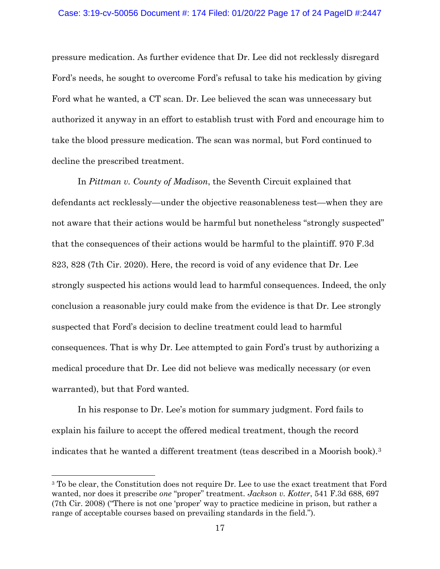pressure medication. As further evidence that Dr. Lee did not recklessly disregard Ford's needs, he sought to overcome Ford's refusal to take his medication by giving Ford what he wanted, a CT scan. Dr. Lee believed the scan was unnecessary but authorized it anyway in an effort to establish trust with Ford and encourage him to take the blood pressure medication. The scan was normal, but Ford continued to decline the prescribed treatment.

In *Pittman v. County of Madison*, the Seventh Circuit explained that defendants act recklessly—under the objective reasonableness test—when they are not aware that their actions would be harmful but nonetheless "strongly suspected" that the consequences of their actions would be harmful to the plaintiff. 970 F.3d 823, 828 (7th Cir. 2020). Here, the record is void of any evidence that Dr. Lee strongly suspected his actions would lead to harmful consequences. Indeed, the only conclusion a reasonable jury could make from the evidence is that Dr. Lee strongly suspected that Ford's decision to decline treatment could lead to harmful consequences. That is why Dr. Lee attempted to gain Ford's trust by authorizing a medical procedure that Dr. Lee did not believe was medically necessary (or even warranted), but that Ford wanted.

In his response to Dr. Lee's motion for summary judgment. Ford fails to explain his failure to accept the offered medical treatment, though the record indicates that he wanted a different treatment (teas described in a Moorish book).3

<sup>&</sup>lt;sup>3</sup> To be clear, the Constitution does not require Dr. Lee to use the exact treatment that Ford wanted, nor does it prescribe *one* "proper" treatment. *Jackson v. Kotter*, 541 F.3d 688, 697 (7th Cir. 2008) ("There is not one 'proper' way to practice medicine in prison, but rather a range of acceptable courses based on prevailing standards in the field.").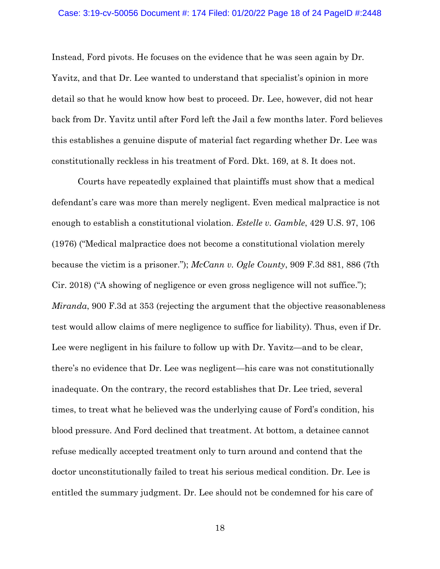### Case: 3:19-cv-50056 Document #: 174 Filed: 01/20/22 Page 18 of 24 PageID #:2448

Instead, Ford pivots. He focuses on the evidence that he was seen again by Dr. Yavitz, and that Dr. Lee wanted to understand that specialist's opinion in more detail so that he would know how best to proceed. Dr. Lee, however, did not hear back from Dr. Yavitz until after Ford left the Jail a few months later. Ford believes this establishes a genuine dispute of material fact regarding whether Dr. Lee was constitutionally reckless in his treatment of Ford. Dkt. 169, at 8. It does not.

Courts have repeatedly explained that plaintiffs must show that a medical defendant's care was more than merely negligent. Even medical malpractice is not enough to establish a constitutional violation. *Estelle v. Gamble*, 429 U.S. 97, 106 (1976) ("Medical malpractice does not become a constitutional violation merely because the victim is a prisoner."); *McCann v. Ogle County*, 909 F.3d 881, 886 (7th Cir. 2018) ("A showing of negligence or even gross negligence will not suffice."); *Miranda*, 900 F.3d at 353 (rejecting the argument that the objective reasonableness test would allow claims of mere negligence to suffice for liability). Thus, even if Dr. Lee were negligent in his failure to follow up with Dr. Yavitz—and to be clear, there's no evidence that Dr. Lee was negligent—his care was not constitutionally inadequate. On the contrary, the record establishes that Dr. Lee tried, several times, to treat what he believed was the underlying cause of Ford's condition, his blood pressure. And Ford declined that treatment. At bottom, a detainee cannot refuse medically accepted treatment only to turn around and contend that the doctor unconstitutionally failed to treat his serious medical condition. Dr. Lee is entitled the summary judgment. Dr. Lee should not be condemned for his care of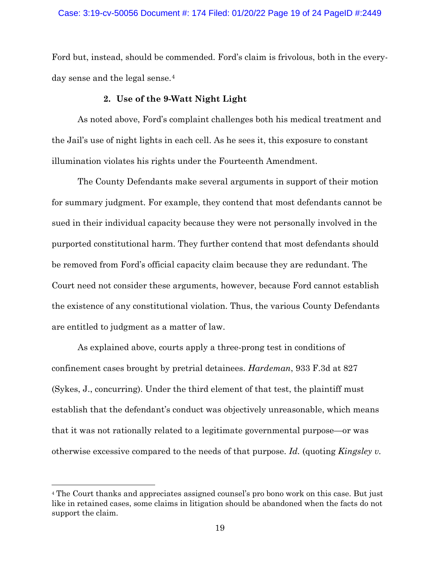# Case: 3:19-cv-50056 Document #: 174 Filed: 01/20/22 Page 19 of 24 PageID #:2449

Ford but, instead, should be commended. Ford's claim is frivolous, both in the everyday sense and the legal sense.<sup>4</sup>

# **2. Use of the 9-Watt Night Light**

As noted above, Ford's complaint challenges both his medical treatment and the Jail's use of night lights in each cell. As he sees it, this exposure to constant illumination violates his rights under the Fourteenth Amendment.

The County Defendants make several arguments in support of their motion for summary judgment. For example, they contend that most defendants cannot be sued in their individual capacity because they were not personally involved in the purported constitutional harm. They further contend that most defendants should be removed from Ford's official capacity claim because they are redundant. The Court need not consider these arguments, however, because Ford cannot establish the existence of any constitutional violation. Thus, the various County Defendants are entitled to judgment as a matter of law.

As explained above, courts apply a three-prong test in conditions of confinement cases brought by pretrial detainees. *Hardeman*, 933 F.3d at 827 (Sykes, J., concurring). Under the third element of that test, the plaintiff must establish that the defendant's conduct was objectively unreasonable, which means that it was not rationally related to a legitimate governmental purpose—or was otherwise excessive compared to the needs of that purpose. *Id.* (quoting *Kingsley v.* 

<sup>4</sup> The Court thanks and appreciates assigned counsel's pro bono work on this case. But just like in retained cases, some claims in litigation should be abandoned when the facts do not support the claim.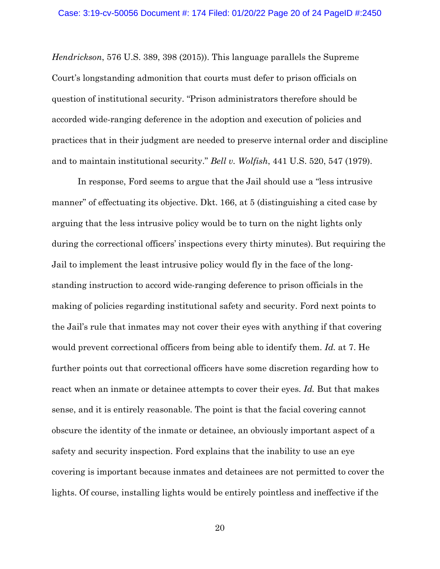*Hendrickson*, 576 U.S. 389, 398 (2015)). This language parallels the Supreme Court's longstanding admonition that courts must defer to prison officials on question of institutional security. "Prison administrators therefore should be accorded wide-ranging deference in the adoption and execution of policies and practices that in their judgment are needed to preserve internal order and discipline and to maintain institutional security." *Bell v. Wolfish*, 441 U.S. 520, 547 (1979).

In response, Ford seems to argue that the Jail should use a "less intrusive manner" of effectuating its objective. Dkt. 166, at 5 (distinguishing a cited case by arguing that the less intrusive policy would be to turn on the night lights only during the correctional officers' inspections every thirty minutes). But requiring the Jail to implement the least intrusive policy would fly in the face of the longstanding instruction to accord wide-ranging deference to prison officials in the making of policies regarding institutional safety and security. Ford next points to the Jail's rule that inmates may not cover their eyes with anything if that covering would prevent correctional officers from being able to identify them. *Id.* at 7. He further points out that correctional officers have some discretion regarding how to react when an inmate or detainee attempts to cover their eyes. *Id.* But that makes sense, and it is entirely reasonable. The point is that the facial covering cannot obscure the identity of the inmate or detainee, an obviously important aspect of a safety and security inspection. Ford explains that the inability to use an eye covering is important because inmates and detainees are not permitted to cover the lights. Of course, installing lights would be entirely pointless and ineffective if the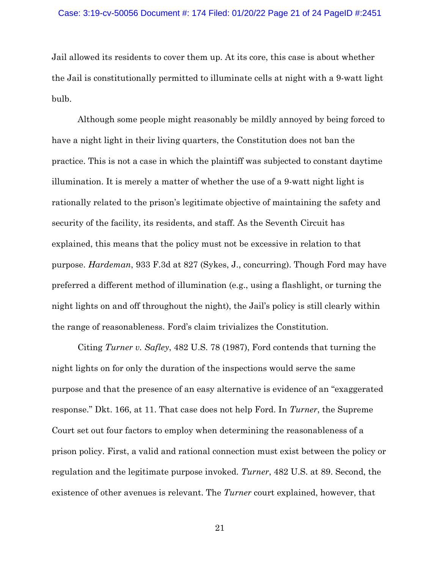### Case: 3:19-cv-50056 Document #: 174 Filed: 01/20/22 Page 21 of 24 PageID #:2451

Jail allowed its residents to cover them up. At its core, this case is about whether the Jail is constitutionally permitted to illuminate cells at night with a 9-watt light bulb.

Although some people might reasonably be mildly annoyed by being forced to have a night light in their living quarters, the Constitution does not ban the practice. This is not a case in which the plaintiff was subjected to constant daytime illumination. It is merely a matter of whether the use of a 9-watt night light is rationally related to the prison's legitimate objective of maintaining the safety and security of the facility, its residents, and staff. As the Seventh Circuit has explained, this means that the policy must not be excessive in relation to that purpose. *Hardeman*, 933 F.3d at 827 (Sykes, J., concurring). Though Ford may have preferred a different method of illumination (e.g., using a flashlight, or turning the night lights on and off throughout the night), the Jail's policy is still clearly within the range of reasonableness. Ford's claim trivializes the Constitution.

Citing *Turner v. Safley*, 482 U.S. 78 (1987), Ford contends that turning the night lights on for only the duration of the inspections would serve the same purpose and that the presence of an easy alternative is evidence of an "exaggerated response." Dkt. 166, at 11. That case does not help Ford. In *Turner*, the Supreme Court set out four factors to employ when determining the reasonableness of a prison policy. First, a valid and rational connection must exist between the policy or regulation and the legitimate purpose invoked. *Turner*, 482 U.S. at 89. Second, the existence of other avenues is relevant. The *Turner* court explained, however, that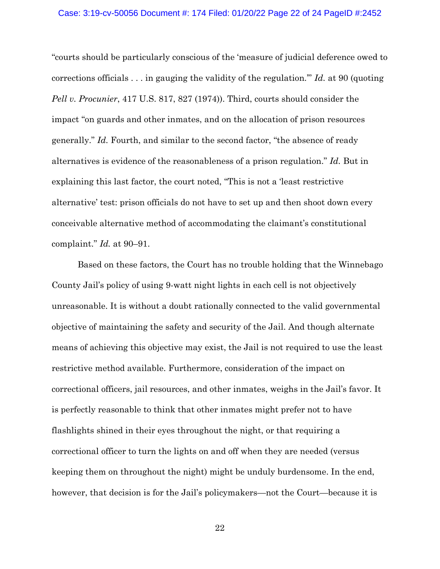# Case: 3:19-cv-50056 Document #: 174 Filed: 01/20/22 Page 22 of 24 PageID #:2452

"courts should be particularly conscious of the 'measure of judicial deference owed to corrections officials . . . in gauging the validity of the regulation.'" *Id.* at 90 (quoting *Pell v. Procunier*, 417 U.S. 817, 827 (1974)). Third, courts should consider the impact "on guards and other inmates, and on the allocation of prison resources generally." *Id.* Fourth, and similar to the second factor, "the absence of ready alternatives is evidence of the reasonableness of a prison regulation." *Id.* But in explaining this last factor, the court noted, "This is not a 'least restrictive alternative' test: prison officials do not have to set up and then shoot down every conceivable alternative method of accommodating the claimant's constitutional complaint." *Id.* at 90–91.

Based on these factors, the Court has no trouble holding that the Winnebago County Jail's policy of using 9-watt night lights in each cell is not objectively unreasonable. It is without a doubt rationally connected to the valid governmental objective of maintaining the safety and security of the Jail. And though alternate means of achieving this objective may exist, the Jail is not required to use the least restrictive method available. Furthermore, consideration of the impact on correctional officers, jail resources, and other inmates, weighs in the Jail's favor. It is perfectly reasonable to think that other inmates might prefer not to have flashlights shined in their eyes throughout the night, or that requiring a correctional officer to turn the lights on and off when they are needed (versus keeping them on throughout the night) might be unduly burdensome. In the end, however, that decision is for the Jail's policymakers—not the Court—because it is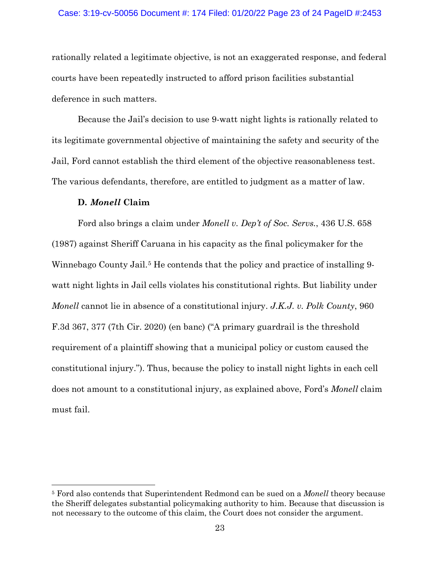# Case: 3:19-cv-50056 Document #: 174 Filed: 01/20/22 Page 23 of 24 PageID #:2453

rationally related a legitimate objective, is not an exaggerated response, and federal courts have been repeatedly instructed to afford prison facilities substantial deference in such matters.

Because the Jail's decision to use 9-watt night lights is rationally related to its legitimate governmental objective of maintaining the safety and security of the Jail, Ford cannot establish the third element of the objective reasonableness test. The various defendants, therefore, are entitled to judgment as a matter of law.

## **D.** *Monell* **Claim**

Ford also brings a claim under *Monell v. Dep't of Soc. Servs.*, 436 U.S. 658 (1987) against Sheriff Caruana in his capacity as the final policymaker for the Winnebago County Jail.<sup>5</sup> He contends that the policy and practice of installing 9watt night lights in Jail cells violates his constitutional rights. But liability under *Monell* cannot lie in absence of a constitutional injury. *J.K.J. v. Polk County*, 960 F.3d 367, 377 (7th Cir. 2020) (en banc) ("A primary guardrail is the threshold requirement of a plaintiff showing that a municipal policy or custom caused the constitutional injury."). Thus, because the policy to install night lights in each cell does not amount to a constitutional injury, as explained above, Ford's *Monell* claim must fail.

<sup>5</sup> Ford also contends that Superintendent Redmond can be sued on a *Monell* theory because the Sheriff delegates substantial policymaking authority to him. Because that discussion is not necessary to the outcome of this claim, the Court does not consider the argument.